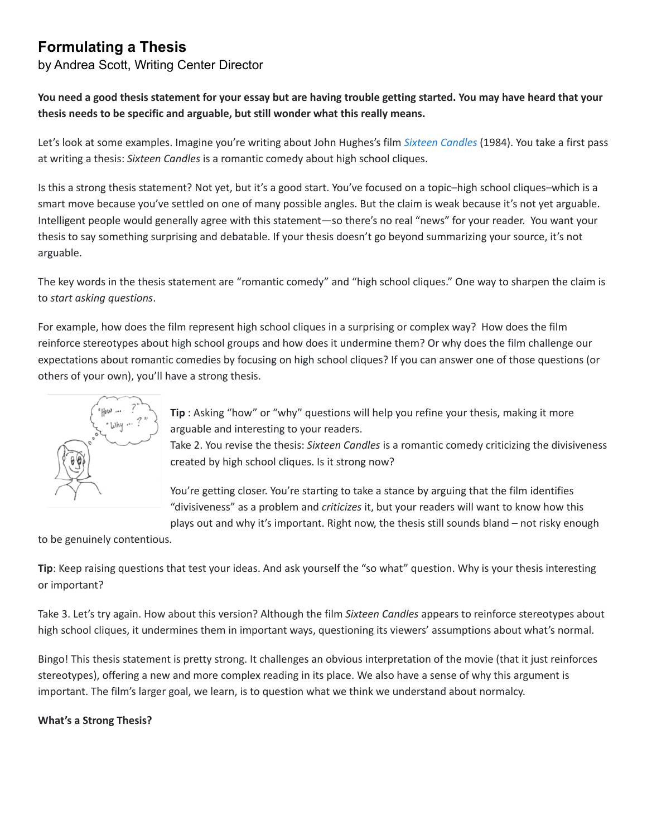## **Formulating a Thesis**

by Andrea Scott, Writing Center Director

You need a good thesis statement for your essay but are having trouble getting started. You may have heard that your **thesis needs to be specific and arguable, but still wonder what this really means.**

Let's look at some examples. Imagine you're writing about John Hughes's film *Sixteen [Candles](http://en.wikipedia.org/wiki/Sixteen_Candles)* (1984). You take a first pass at writing a thesis: *Sixteen Candles* is a romantic comedy about high school cliques.

Is this a strong thesis statement? Not yet, but it's a good start. You've focused on a topic–high school cliques–which is a smart move because you've settled on one of many possible angles. But the claim is weak because it's not yet arguable. Intelligent people would generally agree with this statement—so there's no real "news" for your reader. You want your thesis to say something surprising and debatable. If your thesis doesn't go beyond summarizing your source, it's not arguable.

The key words in the thesis statement are "romantic comedy" and "high school cliques." One way to sharpen the claim is to *start asking questions*.

For example, how does the film represent high school cliques in a surprising or complex way? How does the film reinforce stereotypes about high school groups and how does it undermine them? Or why does the film challenge our expectations about romantic comedies by focusing on high school cliques? If you can answer one of those questions (or others of your own), you'll have a strong thesis.



**Tip** : Asking "how" or "why" questions will help you refine your thesis, making it more arguable and interesting to your readers.

Take 2. You revise the thesis: *Sixteen Candles* is a romantic comedy criticizing the divisiveness created by high school cliques. Is it strong now?

You're getting closer. You're starting to take a stance by arguing that the film identifies "divisiveness" as a problem and *criticizes* it, but your readers will want to know how this plays out and why it's important. Right now, the thesis still sounds bland – not risky enough

to be genuinely contentious.

**Tip**: Keep raising questions that test your ideas. And ask yourself the "so what" question. Why is your thesis interesting or important?

Take 3. Let's try again. How about this version? Although the film *Sixteen Candles* appears to reinforce stereotypes about high school cliques, it undermines them in important ways, questioning its viewers' assumptions about what's normal.

Bingo! This thesis statement is pretty strong. It challenges an obvious interpretation of the movie (that it just reinforces stereotypes), offering a new and more complex reading in its place. We also have a sense of why this argument is important. The film's larger goal, we learn, is to question what we think we understand about normalcy.

#### **What's a Strong Thesis?**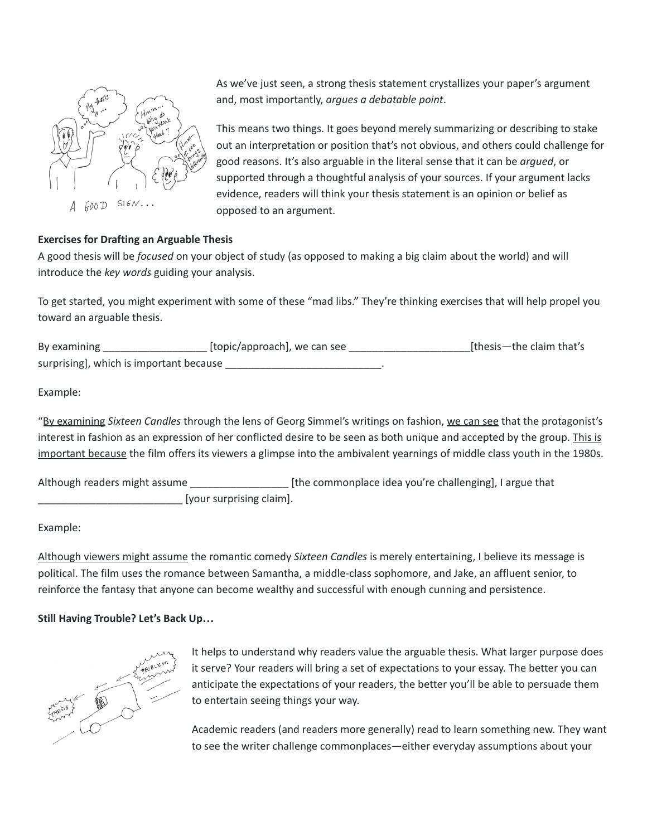

As we've just seen, a strong thesis statement crystallizes your paper's argument and, most importantly, *argues a debatable point*.

This means two things. It goes beyond merely summarizing or describing to stake out an interpretation or position that's not obvious, and others could challenge for good reasons. It's also arguable in the literal sense that it can be *argued*, or supported through a thoughtful analysis of your sources. If your argument lacks evidence, readers will think your thesis statement is an opinion or belief as opposed to an argument.

#### **Exercises for Drafting an Arguable Thesis**

A good thesis will be *focused* on your object of study (as opposed to making a big claim about the world) and will introduce the *key words* guiding your analysis.

To get started, you might experiment with some of these "mad libs." They're thinking exercises that will help propel you toward an arguable thesis.

| By examining                            | [topic/approach], we can see | [thesis-the claim that's |
|-----------------------------------------|------------------------------|--------------------------|
| surprising], which is important because |                              |                          |

Example:

"By examining *Sixteen Candles* through the lens of Georg Simmel's writings on fashion, we can see that the protagonist's interest in fashion as an expression of her conflicted desire to be seen as both unique and accepted by the group. This is important because the film offers its viewers a glimpse into the ambivalent yearnings of middle class youth in the 1980s.

Although readers might assume **Example 2** [the commonplace idea you're challenging], I argue that  $\Box$  [your surprising claim].

Example:

Although viewers might assume the romantic comedy *Sixteen Candles* is merely entertaining, I believe its message is political. The film uses the romance between Samantha, a middle-class sophomore, and Jake, an affluent senior, to reinforce the fantasy that anyone can become wealthy and successful with enough cunning and persistence.

#### **Still Having Trouble? Let's Back Up…**



It helps to understand why readers value the arguable thesis. What larger purpose does it serve? Your readers will bring a set of expectations to your essay. The better you can anticipate the expectations of your readers, the better you'll be able to persuade them to entertain seeing things your way.

Academic readers (and readers more generally) read to learn something new. They want to see the writer challenge commonplaces—either everyday assumptions about your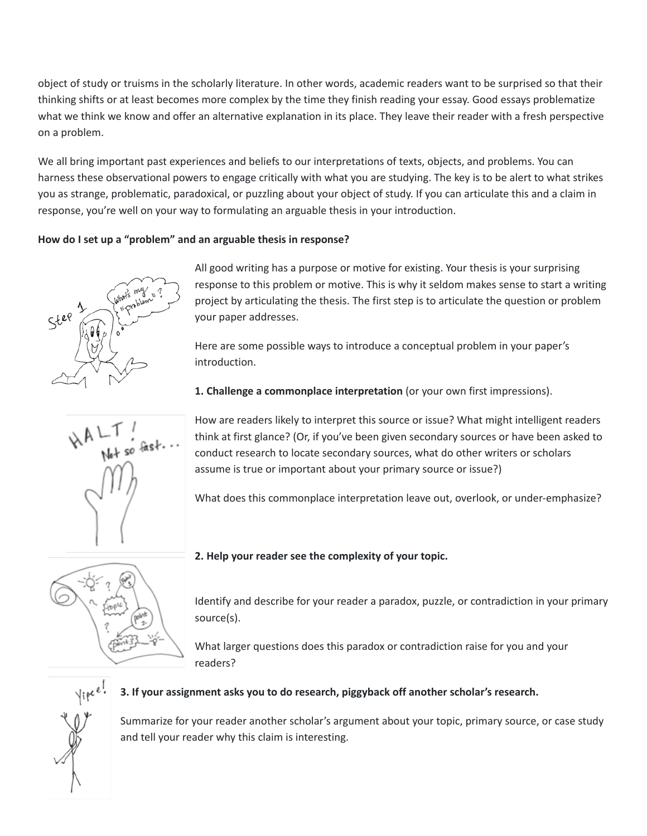object of study or truisms in the scholarly literature. In other words, academic readers want to be surprised so that their thinking shifts or at least becomes more complex by the time they finish reading your essay. Good essays problematize what we think we know and offer an alternative explanation in its place. They leave their reader with a fresh perspective on a problem.

We all bring important past experiences and beliefs to our interpretations of texts, objects, and problems. You can harness these observational powers to engage critically with what you are studying. The key is to be alert to what strikes you as strange, problematic, paradoxical, or puzzling about your object of study. If you can articulate this and a claim in response, you're well on your way to formulating an arguable thesis in your introduction.

#### **How do I set up a "problem" and an arguable thesis in response?**



All good writing has a purpose or motive for existing. Your thesis is your surprising response to this problem or motive. This is why it seldom makes sense to start a writing project by articulating the thesis. The first step is to articulate the question or problem your paper addresses.

Here are some possible ways to introduce a conceptual problem in your paper's introduction.

**1. Challenge a commonplace interpretation** (or your own first impressions).



How are readers likely to interpret this source or issue? What might intelligent readers think at first glance? (Or, if you've been given secondary sources or have been asked to conduct research to locate secondary sources, what do other writers or scholars assume is true or important about your primary source or issue?)

What does this commonplace interpretation leave out, overlook, or under-emphasize?

#### **2. Help your reader see the complexity of your topic.**

Identify and describe for your reader a paradox, puzzle, or contradiction in your primary source(s).

What larger questions does this paradox or contradiction raise for you and your readers?



#### **3. If your assignment asks you to do research, piggyback off another scholar's research.**

Summarize for your reader another scholar's argument about your topic, primary source, or case study and tell your reader why this claim is interesting.